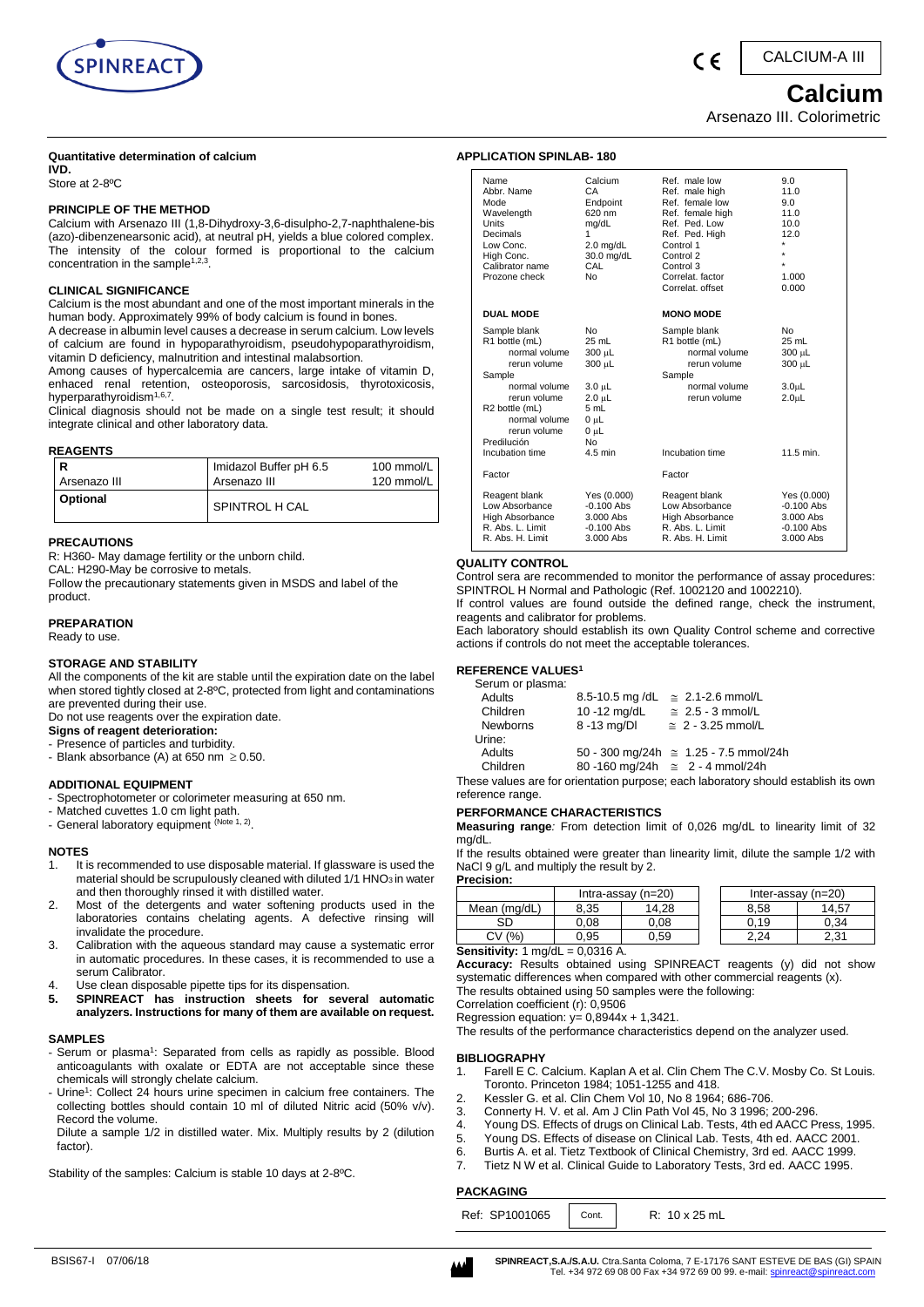

CALCIUM-A III

*Calcium* Arsenazo III. Colorimetric

#### **Quantitative determination of calcium**

**IVD.**  Store at 2-8ºC

#### **PRINCIPLE OF THE METHOD**

Calcium with Arsenazo III (1,8-Dihydroxy-3,6-disulpho-2,7-naphthalene-bis (azo)-dibenzenearsonic acid), at neutral pH, yields a blue colored complex. The intensity of the colour formed is proportional to the calcium concentration in the sample<sup>1,2,3</sup>.

#### **CLINICAL SIGNIFICANCE**

Calcium is the most abundant and one of the most important minerals in the human body. Approximately 99% of body calcium is found in bones.

A decrease in albumin level causes a decrease in serum calcium. Low levels of calcium are found in hypoparathyroidism, pseudohypoparathyroidism, vitamin D deficiency, malnutrition and intestinal malabsortion.

Among causes of hypercalcemia are cancers, large intake of vitamin D, enhaced renal retention, osteoporosis, sarcosidosis, thyrotoxicosis, hyperparathyroidism<sup>1,6,7</sup>.

Clinical diagnosis should not be made on a single test result; it should integrate clinical and other laboratory data.

#### **REAGENTS**

| R               | Imidazol Buffer pH 6.5 | 100 mmol/L |
|-----------------|------------------------|------------|
| Arsenazo III    | Arsenazo III           | 120 mmol/L |
| <b>Optional</b> | SPINTROL H CAL         |            |

#### **PRECAUTIONS**

R: H360- May damage fertility or the unborn child.

CAL: H290-May be corrosive to metals.

Follow the precautionary statements given in MSDS and label of the product.

# **PREPARATION**

Ready to use.

#### **STORAGE AND STABILITY**

All the components of the kit are stable until the expiration date on the label when stored tightly closed at 2-8ºC, protected from light and contaminations are prevented during their use.

Do not use reagents over the expiration date.

- **Signs of reagent deterioration:**
- Presence of particles and turbidity. - Blank absorbance (A) at 650 nm  $\geq$  0.50.

# **ADDITIONAL EQUIPMENT**

- Spectrophotometer or colorimeter measuring at 650 nm.
- Matched cuvettes 1.0 cm light path.
- General laboratory equipment (Note 1, 2).

#### **NOTES**

- 1. It is recommended to use disposable material. If glassware is used the material should be scrupulously cleaned with diluted 1/1 HNO<sub>3</sub> in water and then thoroughly rinsed it with distilled water.
- 2. Most of the detergents and water softening products used in the laboratories contains chelating agents. A defective rinsing will invalidate the procedure.
- 3. Calibration with the aqueous standard may cause a systematic error in automatic procedures. In these cases, it is recommended to use a serum Calibrator.
- 4. Use clean disposable pipette tips for its dispensation.
- **5. SPINREACT has instruction sheets for several automatic analyzers. Instructions for many of them are available on request.**

#### **SAMPLES**

- Serum or plasma<sup>1</sup>: Separated from cells as rapidly as possible. Blood anticoagulants with oxalate or EDTA are not acceptable since these chemicals will strongly chelate calcium.
- Urine<sup>1</sup>: Collect 24 hours urine specimen in calcium free containers. The collecting bottles should contain 10 ml of diluted Nitric acid (50% v/v). Record the volume.

Dilute a sample 1/2 in distilled water. Mix. Multiply results by 2 (dilution factor).

Stability of the samples: Calcium is stable 10 days at 2-8ºC.

# **APPLICATION SPINLAB- 180**

| Name<br>Abbr. Name<br>Mode<br>Wavelength<br>Units<br>Decimals<br>Low Conc.<br>High Conc.<br>Calibrator name<br>Prozone check                                                                    | Calcium<br>СA<br>Endpoint<br>620 nm<br>mg/dL<br>1<br>$2.0$ mg/dL<br>30.0 mg/dL<br>CAL<br>No     | Ref. male low<br>Ref. male high<br>Ref. female low<br>Ref. female high<br>Ref. Ped. Low<br>Ref. Ped. High<br>Control 1<br>Control 2<br>Control 3<br>Correlat, factor<br>Correlat, offset | 9.0<br>11.0<br>9.0<br>11.0<br>10.0<br>12.0<br>÷<br>÷<br>1.000<br>0.000                 |
|-------------------------------------------------------------------------------------------------------------------------------------------------------------------------------------------------|-------------------------------------------------------------------------------------------------|------------------------------------------------------------------------------------------------------------------------------------------------------------------------------------------|----------------------------------------------------------------------------------------|
| <b>DUAL MODE</b>                                                                                                                                                                                |                                                                                                 | <b>MONO MODE</b>                                                                                                                                                                         |                                                                                        |
| Sample blank<br>R1 bottle (mL)<br>normal volume<br>rerun volume<br>Sample<br>normal volume<br>rerun volume<br>R2 bottle (mL)<br>normal volume<br>rerun volume<br>Predilución<br>Incubation time | No<br>25 mL<br>300 µL<br>300 µL<br>3.0 սԼ<br>2.0 µL<br>5 mL<br>0 µL<br>0 սԼ<br>No.<br>$4.5$ min | Sample blank<br>R1 bottle (mL)<br>normal volume<br>rerun volume<br>Sample<br>normal volume<br>rerun volume<br>Incubation time                                                            | No<br>25 mL<br>300 µL<br>300 µL<br>3.0 <sub>µ</sub><br>2.0 <sub>µ</sub> L<br>11.5 min. |
| Factor                                                                                                                                                                                          |                                                                                                 | Factor                                                                                                                                                                                   |                                                                                        |
|                                                                                                                                                                                                 |                                                                                                 |                                                                                                                                                                                          |                                                                                        |
| Reagent blank<br>Low Absorbance<br>High Absorbance<br>R. Abs. L. Limit<br>R. Abs. H. Limit                                                                                                      | Yes (0.000)<br>$-0.100$ Abs<br>3.000 Abs<br>$-0.100$ Abs<br>3.000 Abs                           | Reagent blank<br>Low Absorbance<br>High Absorbance<br>R. Abs. L. Limit<br>R. Abs. H. Limit                                                                                               | Yes (0.000)<br>$-0.100$ Abs<br>$3.000$ Abs<br>$-0.100$ Abs<br>3.000 Abs                |

#### **QUALITY CONTROL**

Control sera are recommended to monitor the performance of assay procedures: SPINTROL H Normal and Pathologic (Ref. 1002120 and 1002210).

If control values are found outside the defined range, check the instrument, reagents and calibrator for problems.

Each laboratory should establish its own Quality Control scheme and corrective actions if controls do not meet the acceptable tolerances.

# **REFERENCE VALUES<sup>1</sup>**

| Serum or plasma: |                |                                               |
|------------------|----------------|-----------------------------------------------|
| Adults           | 8.5-10.5 mg/dL | $\approx 2.1$ -2.6 mmol/L                     |
| Children         | 10 -12 mg/dL   | $\approx 2.5 - 3$ mmol/L                      |
| <b>Newborns</b>  | 8 -13 mg/DI    | $\approx 2 - 3.25$ mmol/L                     |
| Urine:           |                |                                               |
| Adults           |                | 50 - 300 mg/24h $\approx$ 1.25 - 7.5 mmol/24h |
| Children         |                | 80 -160 mg/24h $\approx$ 2 - 4 mmol/24h       |

These values are for orientation purpose; each laboratory should establish its own reference range.

# **PERFORMANCE CHARACTERISTICS**

**Measuring range***:* From detection limit of 0,026 mg/dL to linearity limit of 32 mg/dL.

If the results obtained were greater than linearity limit, dilute the sample 1/2 with NaCl 9 g/L and multiply the result by 2. **Procisi** 

| . . שוטושט          |         |                      |  |                    |       |
|---------------------|---------|----------------------|--|--------------------|-------|
|                     |         | Intra-assay $(n=20)$ |  | Inter-assay (n=20) |       |
| Mean (mg/dL)        | 8.35    | 14.28                |  | 8.58               | 14.57 |
| SD                  | ა.08    | 0.08                 |  | 0.19               | 0.34  |
| $\frac{9}{6}$<br>C٧ | 0.95    | J.59                 |  | 2.24               | 2.31  |
| Canalistics Annuala | 0.0240A |                      |  |                    |       |

**Sensitivity:** 1 mg/dL = 0,0316 A.

**Accuracy:** Results obtained using SPINREACT reagents (y) did not show systematic differences when compared with other commercial reagents (x). The results obtained using 50 samples were the following:

Correlation coefficient (r): 0,9506

Regression equation:  $y= 0,8944x + 1,3421$ .

The results of the performance characteristics depend on the analyzer used.

#### **BIBLIOGRAPHY**

- 1. Farell E C. Calcium. Kaplan A et al. Clin Chem The C.V. Mosby Co. St Louis. Toronto. Princeton 1984; 1051-1255 and 418.
- 2. Kessler G. et al. Clin Chem Vol 10, No 8 1964; 686-706.
- 3. Connerty H. V. et al. Am J Clin Path Vol 45, No 3 1996; 200-296.
- 4. Young DS. Effects of drugs on Clinical Lab. Tests, 4th ed AACC Press, 1995.
- 5. Young DS. Effects of disease on Clinical Lab. Tests, 4th ed. AACC 2001.
- 6. Burtis A. et al. Tietz Textbook of Clinical Chemistry, 3rd ed. AACC 1999.
- 7. Tietz N W et al. Clinical Guide to Laboratory Tests, 3rd ed. AACC 1995.

#### **PACKAGING**

| Ref: SP1001065<br>R: 10 x 25 mL<br>Cont. |
|------------------------------------------|
|------------------------------------------|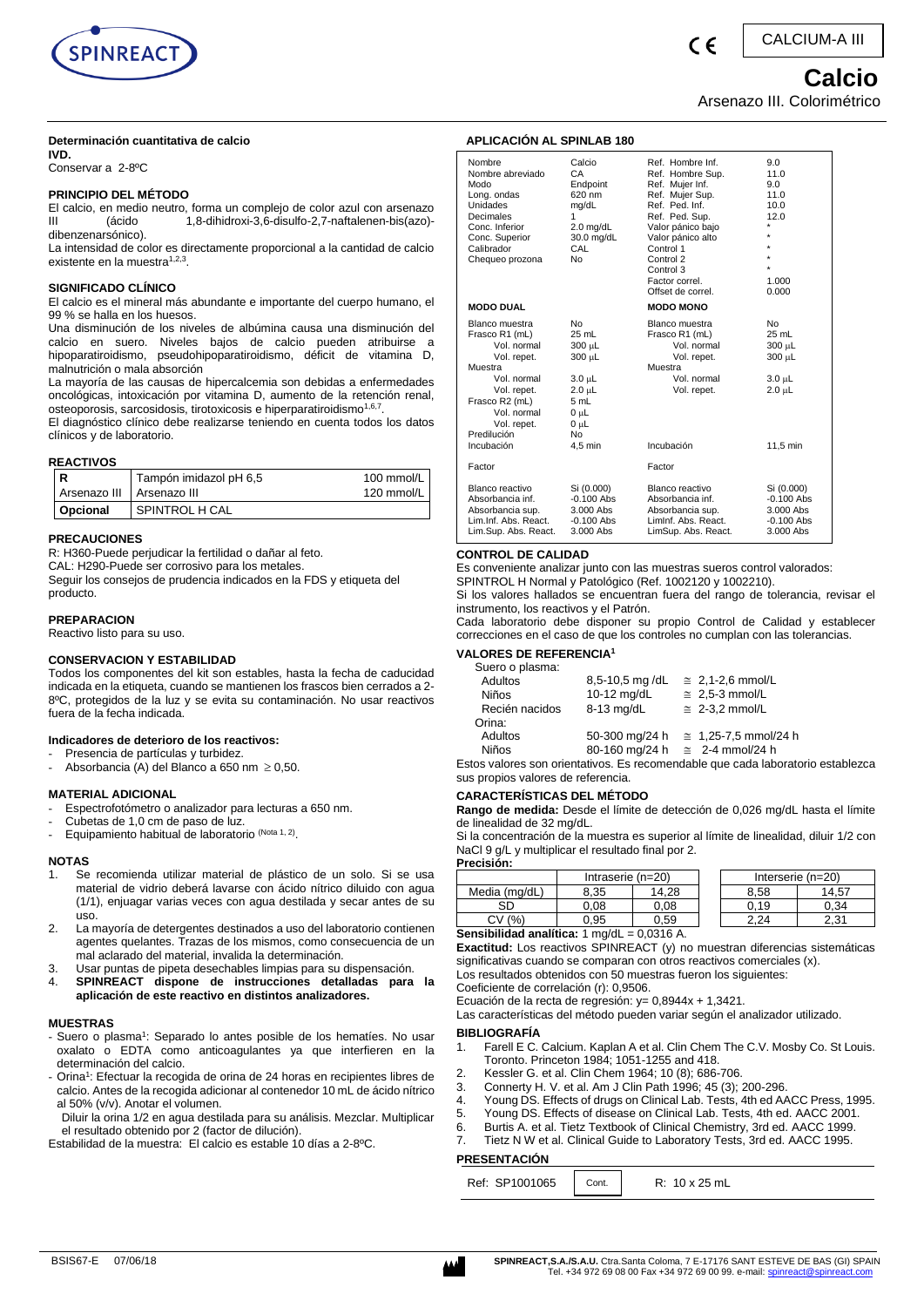

## **Determinación cuantitativa de calcio**

**IVD.** 

Conservar a 2-8ºC

#### **PRINCIPIO DEL MÉTODO**

El calcio, en medio neutro, forma un complejo de color azul con arsenazo<br>III (ácido 1.8-dihidroxi-3.6-disulfo-2.7-naftalenen-bis(azo)-1,8-dihidroxi-3,6-disulfo-2,7-naftalenen-bis(azo)dibenzenarsónico).

La intensidad de color es directamente proporcional a la cantidad de calcio existente en la muestra<sup>1,2,3</sup>.

#### **SIGNIFICADO CLÍNICO**

El calcio es el mineral más abundante e importante del cuerpo humano, el 99 % se halla en los huesos.

Una disminución de los niveles de albúmina causa una disminución del calcio en suero. Niveles bajos de calcio pueden atribuirse a hipoparatiroidismo, pseudohipoparatiroidismo, déficit de vitamina D, malnutrición o mala absorción

La mayoría de las causas de hipercalcemia son debidas a enfermedades oncológicas, intoxicación por vitamina D, aumento de la retención renal, osteoporosis, sarcosidosis, tirotoxicosis e hiperparatiroidismo<sup>1,6,7</sup> .

El diagnóstico clínico debe realizarse teniendo en cuenta todos los datos clínicos y de laboratorio.

#### **REACTIVOS**

| R            | Tampón imidazol pH 6,5 | 100 mmol/L |
|--------------|------------------------|------------|
| Arsenazo III | Arsenazo III           | 120 mmol/L |
| Opcional     | SPINTROL H CAL         |            |

#### **PRECAUCIONES**

R: H360-Puede perjudicar la fertilidad o dañar al feto.

CAL: H290-Puede ser corrosivo para los metales.

Seguir los consejos de prudencia indicados en la FDS y etiqueta del producto.

# **PREPARACION**

Reactivo listo para su uso.

#### **CONSERVACION Y ESTABILIDAD**

Todos los componentes del kit son estables, hasta la fecha de caducidad indicada en la etiqueta, cuando se mantienen los frascos bien cerrados a 2- 8ºC, protegidos de la luz y se evita su contaminación. No usar reactivos fuera de la fecha indicada.

#### **Indicadores de deterioro de los reactivos:**

Presencia de partículas y turbidez.

- Absorbancia (A) del Blanco a 650 nm  $\geq$  0,50.

#### **MATERIAL ADICIONAL**

- Espectrofotómetro o analizador para lecturas a 650 nm.
- Cubetas de 1,0 cm de paso de luz.
- Equipamiento habitual de laboratorio (Nota 1, 2).

# **NOTAS**

- Se recomienda utilizar material de plástico de un solo. Si se usa material de vidrio deberá lavarse con ácido nítrico diluido con agua (1/1), enjuagar varias veces con agua destilada y secar antes de su uso.
- 2. La mayoría de detergentes destinados a uso del laboratorio contienen agentes quelantes. Trazas de los mismos, como consecuencia de un mal aclarado del material, invalida la determinación.
- 3. Usar puntas de pipeta desechables limpias para su dispensación.<br>4. SPINREACT dispone de instrucciones detalladas para 4. **SPINREACT dispone de instrucciones detalladas para la aplicación de este reactivo en distintos analizadores.**

#### **MUESTRAS**

- Suero o plasma<sup>1</sup>: Separado lo antes posible de los hematíes. No usar oxalato o EDTA como anticoagulantes ya que interfieren en la determinación del calcio.
- Orina<sup>1</sup>: Efectuar la recogida de orina de 24 horas en recipientes libres de calcio. Antes de la recogida adicionar al contenedor 10 mL de ácido nítrico al 50% (v/v). Anotar el volumen.
- Diluir la orina 1/2 en agua destilada para su análisis. Mezclar. Multiplicar el resultado obtenido por 2 (factor de dilución).

Estabilidad de la muestra: El calcio es estable 10 días a 2-8ºC.

#### Nombre Calcio Ref. Hombre Inf. 9.0<br>Nombre abreviado CA Ref. Hombre Sup. 11.0<br>1. 1. Solomon Ref. Mulier Inf. 9.0 Ref. Hombre Sup. Modo Endpoint Ref. Mujer Inf. 9.0 Long. ondas 620 nm Ref. Mujer Sup. 11.0 Unidades mg/dL Ref. Ped. Inf. 10.0 Decimales 1 1 Ref. Ped. Sup. 12.0 Conc. Inferior 2.0 mg/dL Valor pánico bajo \* Conc. Superior 30.0 mg/dL Valor pánico alto \* Calibrador CAL Control 1 Chequeo prozona No Control 2  $\sim$   $\sim$   $\sim$ Control 3 Factor correl. 1.000 Offset de correl. 0.000 **MODO DUAL MODO MONO** Blanco muestra  $\blacksquare$  No  $\blacksquare$  Blanco muestra  $\blacksquare$  No Frasco R1 (mL) 25 mL Frasco R1 (mL) 25 mL Vol. normal  $300 \mu L$  Vol. normal  $300 \mu L$ Vol. repet.  $300 \mu L$  Vol. repet.  $300 \mu L$ Muestra Muestra Vol. normal  $3.0 \mu L$  Vol. normal  $3.0 \mu L$ Vol. repet. 2.0 μL Vol. repet. 2.0 μL Frasco R2 (mL) 5 mL Vol. normal 0 µL Vol. repet.  $0 \mu L$ Predilución No Incubación 4,5 min Incubación 11,5 min Factor Factor Blanco reactivo Si (0.000) Blanco reactivo Si (0.000) Absorbancia inf. -0.100 Abs Absorbancia inf. -0.100 Abs Absorbancia sup. 3.000 Abs Absorbancia sup. 3.000 Abs Lim.Inf. Abs. React. -0.100 Abs - LimInf. Abs. React. -0.100 Abs

#### **CONTROL DE CALIDAD**

Es conveniente analizar junto con las muestras sueros control valorados:

SPINTROL H Normal y Patológico (Ref. 1002120 y 1002210).

Si los valores hallados se encuentran fuera del rango de tolerancia, revisar el instrumento, los reactivos y el Patrón.

Cada laboratorio debe disponer su propio Control de Calidad y establecer correcciones en el caso de que los controles no cumplan con las tolerancias.

# **VALORES DE REFERENCIA<sup>1</sup>**

| Suero o plasma: |                |                                |
|-----------------|----------------|--------------------------------|
| Adultos         | 8,5-10,5 mg/dL | $\cong$ 2,1-2,6 mmol/L         |
| <b>Niños</b>    | 10-12 mg/dL    | $\approx 2.5$ -3 mmol/L        |
| Recién nacidos  | 8-13 mg/dL     | $\approx 2$ -3.2 mmol/L        |
| Orina:          |                |                                |
| Adultos         | 50-300 mg/24 h | $\approx 1.25 - 7.5$ mmol/24 h |
| <b>Niños</b>    | 80-160 mg/24 h | $\approx$ 2-4 mmol/24 h        |

Estos valores son orientativos. Es recomendable que cada laboratorio establezca sus propios valores de referencia.

#### **CARACTERÍSTICAS DEL MÉTODO**

**Rango de medida:** Desde el límite de detección de 0,026 mg/dL hasta el límite

de linealidad de 32 mg/dL. Si la concentración de la muestra es superior al límite de linealidad, diluir 1/2 con NaCl 9 g/L y multiplicar el resultado final por 2.

**Precisión:**

|                                                       | Intraserie (n=20) |       |  | Interserie $(n=20)$ |       |
|-------------------------------------------------------|-------------------|-------|--|---------------------|-------|
| Media (mg/dL)                                         | 8.35              | 14.28 |  | 8.58                | 14.57 |
| SD                                                    | 0.08              | 0.08  |  | 0.19                | 0.34  |
| (9/0)                                                 | 0.95              | 0.59  |  | 2.24                | 2.31  |
| Canaibilidad analítica: 1 ma/dl<br>$0.024C$ $\Lambda$ |                   |       |  |                     |       |

**Sensibilidad analítica:** 1 mg/dL

**Exactitud:** Los reactivos SPINREACT (y) no muestran diferencias sistemáticas significativas cuando se comparan con otros reactivos comerciales (x). Los resultados obtenidos con 50 muestras fueron los siguientes:

Coeficiente de correlación (r): 0,9506.

Ecuación de la recta de regresión: y= 0,8944x + 1,3421.

Las características del método pueden variar según el analizador utilizado.

#### **BIBLIOGRAFÍA**

- 1. Farell E C. Calcium. Kaplan A et al. Clin Chem The C.V. Mosby Co. St Louis. Toronto. Princeton 1984; 1051-1255 and 418.
- 2. Kessler G. et al. Clin Chem 1964; 10 (8); 686-706.
- 3. Connerty H. V. et al. Am J Clin Path 1996; 45 (3); 200-296.
- 4. Young DS. Effects of drugs on Clinical Lab. Tests, 4th ed AACC Press, 1995.
- 5. Young DS. Effects of disease on Clinical Lab. Tests, 4th ed. AACC 2001.
- 6. Burtis A. et al. Tietz Textbook of Clinical Chemistry, 3rd ed. AACC 1999.
- 7. Tietz N W et al. Clinical Guide to Laboratory Tests, 3rd ed. AACC 1995.

#### **PRESENTACIÓN**

| Ref: SP1001065   Cont. |  | R: 10 x 25 mL |
|------------------------|--|---------------|
|------------------------|--|---------------|



# **Calcio**

Arsenazo III. Colorimétrico

 $\epsilon$ 

# **APLICACIÓN AL SPINLAB 180**

| <b>NUUU</b><br>Long. ondas<br>Unidades<br>Decimales<br>Conc. Inferior<br>Conc. Superior<br>Calibrador<br>Chequeo prozona                                                             | <b>Eliapolit</b><br>620 nm<br>mg/dL<br>1<br>$2.0$ mg/dL<br>30.0 mg/dL<br>CAL<br>No                          | rei. Mujei IIII.<br>Ref. Mujer Sup.<br>Ref. Ped. Inf.<br>Ref. Ped. Sup.<br>Valor pánico bajo<br>Valor pánico alto<br>Control 1<br>Control 2<br>Control 3<br>Factor correl.<br>Offset de correl. | ອ.ບ<br>11.0<br>10.0<br>12.0<br>×<br>$\star$<br>$\star$<br>$\star$<br>1.000<br>0.000        |
|--------------------------------------------------------------------------------------------------------------------------------------------------------------------------------------|-------------------------------------------------------------------------------------------------------------|-------------------------------------------------------------------------------------------------------------------------------------------------------------------------------------------------|--------------------------------------------------------------------------------------------|
| <b>MODO DUAL</b>                                                                                                                                                                     |                                                                                                             | <b>MODO MONO</b>                                                                                                                                                                                |                                                                                            |
| Blanco muestra<br>Frasco R1 (mL)<br>Vol. normal<br>Vol. repet.<br>Muestra<br>Vol. normal<br>Vol. repet.<br>Frasco R2 (mL)<br>Vol. normal<br>Vol. repet.<br>Predilución<br>Incubación | No<br>25 mL<br>$300 \mu L$<br>300 µL<br>$3.0 \mu L$<br>$2.0 \mu L$<br>5 mL<br>0 µL<br>0 µL<br>No<br>4,5 min | Blanco muestra<br>Frasco R1 (mL)<br>Vol. normal<br>Vol. repet.<br>Muestra<br>Vol. normal<br>Vol. repet.<br>Incubación                                                                           | N <sub>o</sub><br>25 mL<br>300 µL<br>300 µL<br>3.0 µL<br>$2.0 \mu L$<br>$11.5 \text{ min}$ |
| Factor                                                                                                                                                                               |                                                                                                             | Factor                                                                                                                                                                                          |                                                                                            |
| Blanco reactivo<br>Absorbancia inf.<br>Absorbancia sup.<br>Lim.Inf. Abs. React.<br>Lim.Sup. Abs. React.                                                                              | Si (0.000)<br>$-0.100$ Abs<br>$3.000$ Abs<br>$-0.100$ Abs<br>3.000 Abs                                      | Blanco reactivo<br>Absorbancia inf.<br>Absorbancia sup.<br>Liminf. Abs. React.<br>LimSup. Abs. React.                                                                                           | Si (0.000)<br>$-0.100$ Abs<br>3.000 Abs<br>$-0.100$ Abs<br>3.000 Abs                       |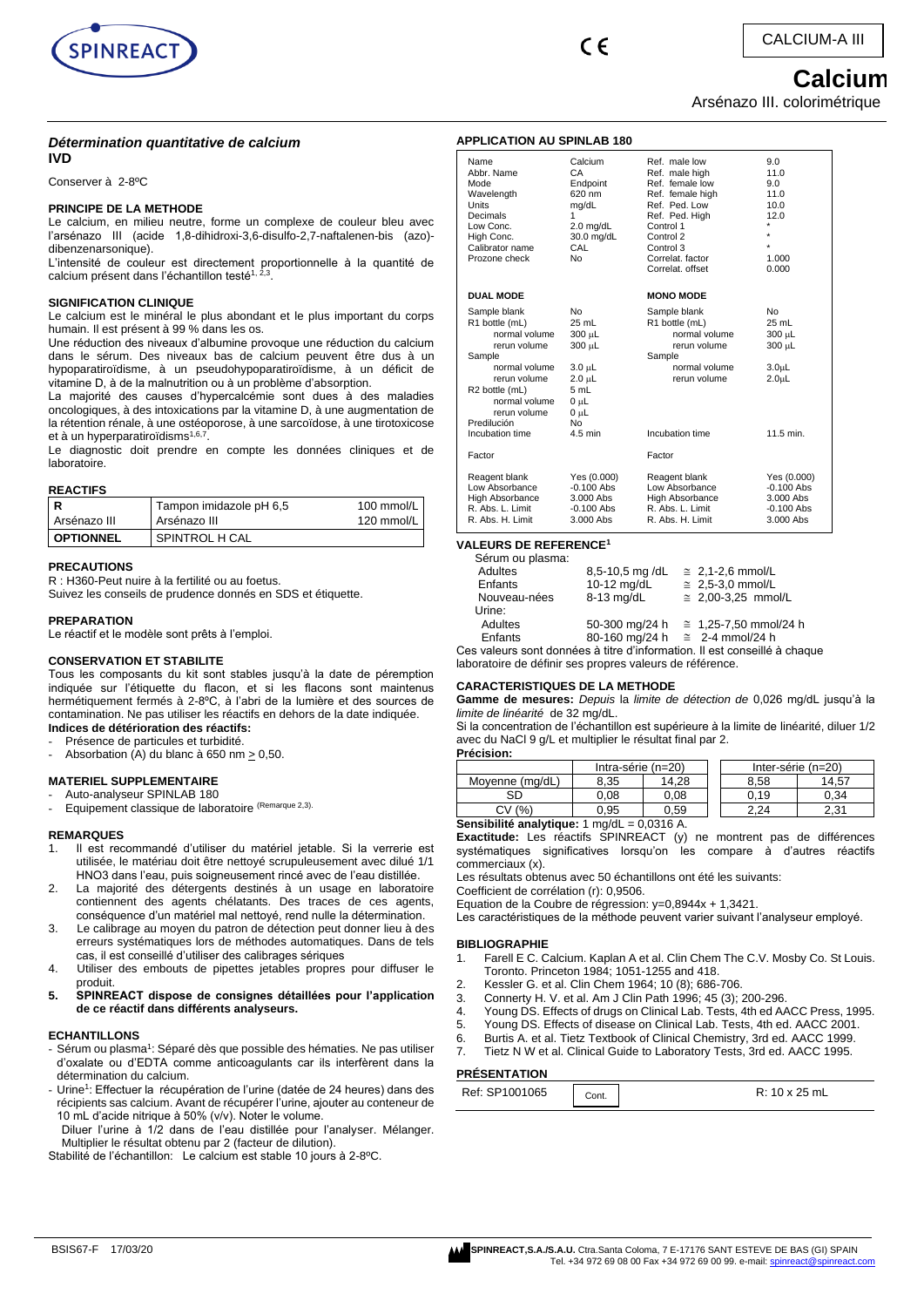



# **Calcium**

Arsénazo III. colorimétrique

#### *Détermination quantitative de calcium* **IVD**

Conserver à 2-8ºC

#### **PRINCIPE DE LA METHODE**

Le calcium, en milieu neutre, forme un complexe de couleur bleu avec l'arsénazo III (acide 1,8-dihidroxi-3,6-disulfo-2,7-naftalenen-bis (azo) dibenzenarsonique).

L'intensité de couleur est directement proportionnelle à la quantité de calcium présent dans l'échantillon testé<sup>1, 2,3</sup>.

#### **SIGNIFICATION CLINIQUE**

Le calcium est le minéral le plus abondant et le plus important du corps humain. Il est présent à 99 % dans les os.

Une réduction des niveaux d'albumine provoque une réduction du calcium dans le sérum. Des niveaux bas de calcium peuvent être dus à un hypoparatiroïdisme, à un pseudohypoparatiroïdisme, à un déficit de vitamine D, à de la malnutrition ou à un problème d'absorption.

La majorité des causes d'hypercalcémie sont dues à des maladies oncologiques, à des intoxications par la vitamine D, à une augmentation de la rétention rénale, à une ostéoporose, à une sarcoïdose, à une tirotoxicose et à un hyperparatiroïdisms<sup>1,6,7</sup> .

Le diagnostic doit prendre en compte les données cliniques et de laboratoire.

## **REACTIFS**

| l R              | Tampon imidazole pH 6,5 | 100 mmol/L |
|------------------|-------------------------|------------|
| Arsénazo III     | Arsénazo III            | 120 mmol/L |
| <b>OPTIONNEL</b> | SPINTROL H CAL          |            |

#### **PRECAUTIONS**

R : H360-Peut nuire à la fertilité ou au foetus. Suivez les conseils de prudence donnés en SDS et étiquette.

#### **PREPARATION**

Le réactif et le modèle sont prêts à l'emploi.

#### **CONSERVATION ET STABILITE**

Tous les composants du kit sont stables jusqu'à la date de péremption indiquée sur l'étiquette du flacon, et si les flacons sont maintenus hermétiquement fermés à 2-8ºC, à l'abri de la lumière et des sources de contamination. Ne pas utiliser les réactifs en dehors de la date indiquée. **Indices de détérioration des réactifs:**

Présence de particules et turbidité.

Absorbation (A) du blanc à 650 nm  $\geq$  0,50.

#### **MATERIEL SUPPLEMENTAIRE**

- Auto-analyseur SPINLAB 180
- Equipement classique de laboratoire (Remarque 2,3).

#### **REMARQUES**

- 1. Il est recommandé d'utiliser du matériel jetable. Si la verrerie est utilisée, le matériau doit être nettoyé scrupuleusement avec dilué 1/1 HNO3 dans l'eau, puis soigneusement rincé avec de l'eau distillée.
- La majorité des détergents destinés à un usage en laboratoire contiennent des agents chélatants. Des traces de ces agents, conséquence d'un matériel mal nettoyé, rend nulle la détermination.
- 3. Le calibrage au moyen du patron de détection peut donner lieu à des erreurs systématiques lors de méthodes automatiques. Dans de tels cas, il est conseillé d'utiliser des calibrages sériques
- 4. Utiliser des embouts de pipettes jetables propres pour diffuser le produit.
- **5. SPINREACT dispose de consignes détaillées pour l'application de ce réactif dans différents analyseurs.**

#### **ECHANTILLONS**

- Sérum ou plasma<sup>1</sup>: Séparé dès que possible des hématies. Ne pas utiliser d'oxalate ou d'EDTA comme anticoagulants car ils interfèrent dans la détermination du calcium.
- Urine<sup>1</sup>: Effectuer la récupération de l'urine (datée de 24 heures) dans des récipients sas calcium. Avant de récupérer l'urine, ajouter au conteneur de 10 mL d'acide nitrique à 50% (v/v). Noter le volume.

Diluer l'urine à 1/2 dans de l'eau distillée pour l'analyser. Mélanger. Multiplier le résultat obtenu par 2 (facteur de dilution).

Stabilité de l'échantillon: Le calcium est stable 10 jours à 2-8ºC.

| <b>APPLICATION AU SPINLAB 180</b>                                                                                                                                                        |                                                                                                          |                                                                                                                                                                                          |                                                                                         |  |  |
|------------------------------------------------------------------------------------------------------------------------------------------------------------------------------------------|----------------------------------------------------------------------------------------------------------|------------------------------------------------------------------------------------------------------------------------------------------------------------------------------------------|-----------------------------------------------------------------------------------------|--|--|
| Name<br>Abbr. Name<br>Mode<br>Wavelength<br><b>Units</b><br>Decimals<br>Low Conc.<br>High Conc.<br>Calibrator name<br>Prozone check                                                      | Calcium<br>CA<br>Endpoint<br>620 nm<br>mg/dL<br>1<br>$2.0$ mg/dL<br>30.0 mg/dL<br>CAL<br>No              | Ref. male low<br>Ref. male high<br>Ref. female low<br>Ref. female high<br>Ref. Ped. Low<br>Ref. Ped. High<br>Control 1<br>Control 2<br>Control 3<br>Correlat, factor<br>Correlat, offset | 9.0<br>11.0<br>9.0<br>11.0<br>10.0<br>12.0<br>$\star$<br>1.000<br>0.000                 |  |  |
| <b>DUAL MODE</b>                                                                                                                                                                         |                                                                                                          | <b>MONO MODE</b>                                                                                                                                                                         |                                                                                         |  |  |
| Sample blank<br>R1 bottle (mL)<br>normal volume<br>rerun volume<br>Sample<br>normal volume<br>rerun volume<br>R <sub>2</sub> bottle (mL)<br>normal volume<br>rerun volume<br>Predilución | No.<br>25 mL<br>300 µL<br>300 µL<br>3.0 µL<br>$2.0 \mu L$<br>5 mL<br>$0 \mu L$<br>0 սԼ<br>N <sub>0</sub> | Sample blank<br>R1 bottle (mL)<br>normal volume<br>rerun volume<br>Sample<br>normal volume<br>rerun volume                                                                               | N <sub>0</sub><br>$25$ mL<br>300 µL<br>300 µL<br>3.0 <sub>µ</sub><br>2.0 <sub>µ</sub> L |  |  |
| Incubation time                                                                                                                                                                          | $4.5$ min                                                                                                | Incubation time                                                                                                                                                                          | 11.5 min.                                                                               |  |  |
| Factor                                                                                                                                                                                   |                                                                                                          | Factor                                                                                                                                                                                   |                                                                                         |  |  |
| Reagent blank<br>Low Absorbance<br>High Absorbance<br>R. Abs. L. Limit<br>R. Abs. H. Limit                                                                                               | Yes (0.000)<br>$-0.100$ Abs<br>$3.000$ Abs<br>$-0.100$ Abs<br>3.000 Abs                                  | Reagent blank<br>Low Absorbance<br>High Absorbance<br>R. Abs. L. Limit<br>R. Abs. H. Limit                                                                                               | Yes (0.000)<br>$-0.100$ Abs<br>$3.000$ Abs<br>$-0.100$ Abs<br>3.000 Abs                 |  |  |

# **VALEURS DE REFERENCE<sup>1</sup>**

| Sérum ou plasma: |                                        |                                                                           |
|------------------|----------------------------------------|---------------------------------------------------------------------------|
| Adultes          | 8,5-10,5 mg/dL                         | $\cong$ 2,1-2,6 mmol/L                                                    |
| Enfants          | 10-12 mg/dL                            | $\cong$ 2,5-3,0 mmol/L                                                    |
| Nouveau-nées     | 8-13 mg/dL                             | $\cong$ 2,00-3,25 mmol/L                                                  |
| Urine:           |                                        |                                                                           |
| Adultes          | 50-300 mg/24 h                         | $\cong$ 1,25-7,50 mmol/24 h                                               |
| Enfants          | 80-160 mg/24 h $\approx$ 2-4 mmol/24 h |                                                                           |
|                  |                                        | Ces valeurs sont données à titre d'information. Il est conseillé à chaque |
|                  |                                        |                                                                           |

laboratoire de définir ses propres valeurs de référence.

#### **CARACTERISTIQUES DE LA METHODE**

**Gamme de mesures:** *Depuis* la *limite de détection de* 0,026 mg/dL jusqu'à la *limite de linéarité* de 32 mg/dL.

Si la concentration de l'échantillon est supérieure à la limite de linéarité, diluer 1/2 avec du NaCl 9 g/L et multiplier le résultat final par 2. **Précision:**

| .                     |                      |       |                    |      |       |
|-----------------------|----------------------|-------|--------------------|------|-------|
|                       | Intra-série $(n=20)$ |       | Inter-série (n=20) |      |       |
| Movenne (ma/dL)       | 8.35                 | 14.28 |                    | 8.58 | 14.57 |
| SD                    | 0.08                 | 0.08  |                    | 0.19 | 0.34  |
| СV<br>$(%^{2})^{1/2}$ | 0.95                 | 0.59  |                    | 2.24 | 2.31  |

#### **Sensibilité analytique:** 1 mg/dL = 0,0316 A.

**Exactitude:** Les réactifs SPINREACT (y) ne montrent pas de différences systématiques significatives lorsqu'on les compare à d'autres réactifs commerciaux (x).

Les résultats obtenus avec 50 échantillons ont été les suivants:

Coefficient de corrélation (r): 0,9506.

Equation de la Coubre de régression: y=0,8944x + 1,3421.

Les caractéristiques de la méthode peuvent varier suivant l'analyseur employé.

#### **BIBLIOGRAPHIE**

- 1. Farell E C. Calcium. Kaplan A et al. Clin Chem The C.V. Mosby Co. St Louis. Toronto. Princeton 1984; 1051-1255 and 418.
- 2. Kessler G. et al. Clin Chem 1964; 10  $(8)$ ; 686-706.<br>3. Connerty H. V. et al. Am. I Clin Path 1996; 45  $(3)$
- 3. Connerty H. V. et al. Am J Clin Path 1996; 45 (3); 200-296.
- 4. Young DS. Effects of drugs on Clinical Lab. Tests, 4th ed AACC Press, 1995.
- 5. Young DS. Effects of disease on Clinical Lab. Tests, 4th ed. AACC 2001.
- 6. Burtis A. et al. Tietz Textbook of Clinical Chemistry, 3rd ed. AACC 1999.
- 7. Tietz N W et al. Clinical Guide to Laboratory Tests, 3rd ed. AACC 1995.

## **PRÉSENTATION**

| Ref: SP1001065 | Cont. | $R: 10 \times 25$ mL |
|----------------|-------|----------------------|
|----------------|-------|----------------------|